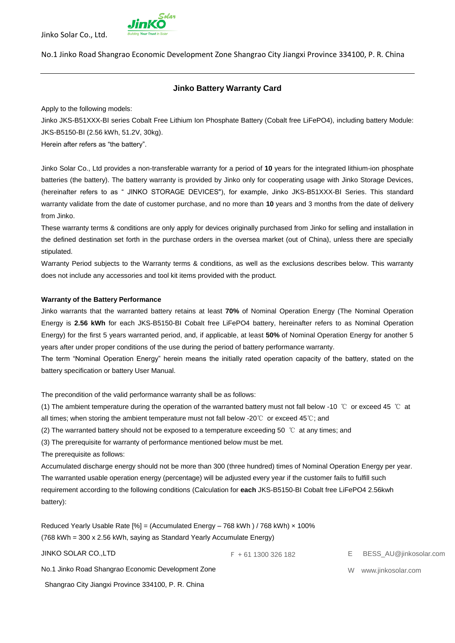

# **Jinko Battery Warranty Card**

Apply to the following models:

Jinko JKS-B51XXX-BI series Cobalt Free Lithium Ion Phosphate Battery (Cobalt free LiFePO4), including battery Module: JKS-B5150-BI (2.56 kWh, 51.2V, 30kg).

Herein after refers as "the battery".

Jinko Solar Co., Ltd provides a non-transferable warranty for a period of **10** years for the integrated lithium-ion phosphate batteries (the battery). The battery warranty is provided by Jinko only for cooperating usage with Jinko Storage Devices, (hereinafter refers to as " JINKO STORAGE DEVICES"), for example, Jinko JKS-B51XXX-BI Series. This standard warranty validate from the date of customer purchase, and no more than **10** years and 3 months from the date of delivery from Jinko.

These warranty terms & conditions are only apply for devices originally purchased from Jinko for selling and installation in the defined destination set forth in the purchase orders in the oversea market (out of China), unless there are specially stipulated.

Warranty Period subjects to the Warranty terms & conditions, as well as the exclusions describes below. This warranty does not include any accessories and tool kit items provided with the product.

#### **Warranty of the Battery Performance**

Jinko warrants that the warranted battery retains at least **70%** of Nominal Operation Energy (The Nominal Operation Energy is **2.56 kWh** for each JKS-B5150-BI Cobalt free LiFePO4 battery, hereinafter refers to as Nominal Operation Energy) for the first 5 years warranted period, and, if applicable, at least **50%** of Nominal Operation Energy for another 5 years after under proper conditions of the use during the period of battery performance warranty.

The term "Nominal Operation Energy" herein means the initially rated operation capacity of the battery, stated on the battery specification or battery User Manual.

The precondition of the valid performance warranty shall be as follows:

(1) The ambient temperature during the operation of the warranted battery must not fall below -10 ℃ or exceed 45 ℃ at all times; when storing the ambient temperature must not fall below -20℃ or exceed 45℃; and

(2) The warranted battery should not be exposed to a temperature exceeding 50 ℃ at any times; and

(3) The prerequisite for warranty of performance mentioned below must be met.

The prerequisite as follows:

Accumulated discharge energy should not be more than 300 (three hundred) times of Nominal Operation Energy per year. The warranted usable operation energy (percentage) will be adjusted every year if the customer fails to fulfill such requirement according to the following conditions (Calculation for **each** JKS-B5150-BI Cobalt free LiFePO4 2.56kwh battery):

Reduced Yearly Usable Rate [%] = (Accumulated Energy - 768 kWh) / 768 kWh) x 100% (768 kWh = 300 x 2.56 kWh, saying as Standard Yearly Accumulate Energy)

JINKO SOLAR CO.,LTD

F + 61 1300 326 182 E BESS\_AU@jinkosolar.com

No.1 Jinko Road Shangrao Economic Development Zone

Shangrao City Jiangxi Province 334100, P. R. China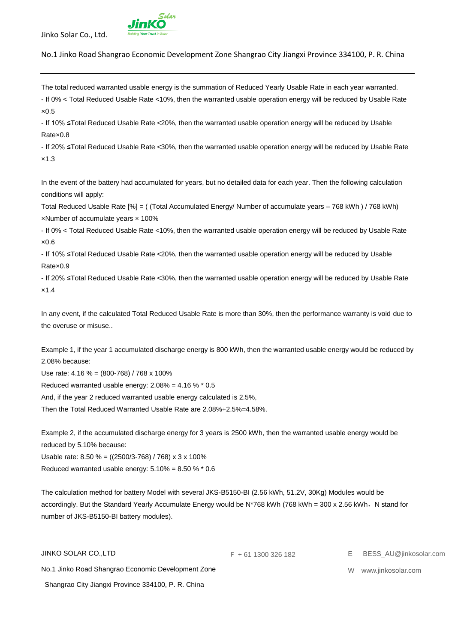

No.1 Jinko Road Shangrao Economic Development Zone Shangrao City Jiangxi Province 334100, P. R. China

The total reduced warranted usable energy is the summation of Reduced Yearly Usable Rate in each year warranted.

- If 0% < Total Reduced Usable Rate <10%, then the warranted usable operation energy will be reduced by Usable Rate ×0.5

- If 10% ≤Total Reduced Usable Rate <20%, then the warranted usable operation energy will be reduced by Usable Rate×0.8

- If 20% ≤Total Reduced Usable Rate <30%, then the warranted usable operation energy will be reduced by Usable Rate ×1.3

In the event of the battery had accumulated for years, but no detailed data for each year. Then the following calculation conditions will apply:

Total Reduced Usable Rate [%] = ( (Total Accumulated Energy/ Number of accumulate years – 768 kWh ) / 768 kWh) ×Number of accumulate years × 100%

- If 0% < Total Reduced Usable Rate <10%, then the warranted usable operation energy will be reduced by Usable Rate  $×0.6$ 

- If 10% ≤Total Reduced Usable Rate <20%, then the warranted usable operation energy will be reduced by Usable Rate×0.9

- If 20% ≤Total Reduced Usable Rate <30%, then the warranted usable operation energy will be reduced by Usable Rate ×1.4

In any event, if the calculated Total Reduced Usable Rate is more than 30%, then the performance warranty is void due to the overuse or misuse..

Example 1, if the year 1 accumulated discharge energy is 800 kWh, then the warranted usable energy would be reduced by 2.08% because:

Use rate: 4.16 % = (800-768) / 768 x 100%

Reduced warranted usable energy: 2.08% = 4.16 % \* 0.5

And, if the year 2 reduced warranted usable energy calculated is 2.5%,

Then the Total Reduced Warranted Usable Rate are 2.08%+2.5%=4.58%.

Example 2, if the accumulated discharge energy for 3 years is 2500 kWh, then the warranted usable energy would be reduced by 5.10% because:

Usable rate: 8.50 % = ((2500/3-768) / 768) x 3 x 100% Reduced warranted usable energy:  $5.10\% = 8.50\% * 0.6$ 

The calculation method for battery Model with several JKS-B5150-BI (2.56 kWh, 51.2V, 30Kg) Modules would be accordingly. But the Standard Yearly Accumulate Energy would be N\*768 kWh (768 kWh = 300 x 2.56 kWh, N stand for number of JKS-B5150-BI battery modules).

| JINKO SOLAR COLTD                                  | $F + 611300326182$ | E BESS AU@jinkosolar.com |
|----------------------------------------------------|--------------------|--------------------------|
| No.1 Jinko Road Shangrao Economic Development Zone |                    | W www.iinkosolar.com     |
| Shangrao City Jiangxi Province 334100, P. R. China |                    |                          |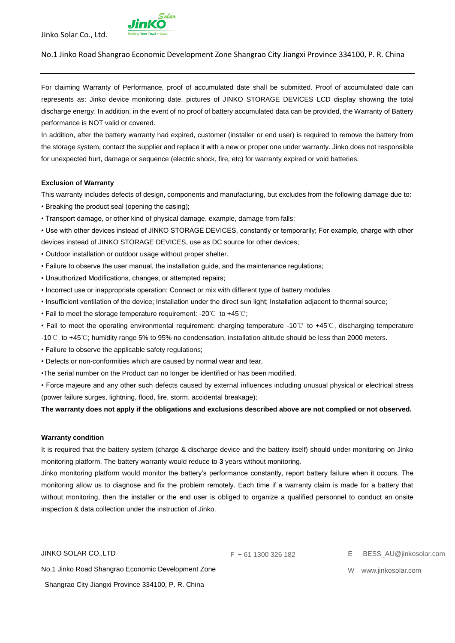

### No.1 Jinko Road Shangrao Economic Development Zone Shangrao City Jiangxi Province 334100, P. R. China

For claiming Warranty of Performance, proof of accumulated date shall be submitted. Proof of accumulated date can represents as: Jinko device monitoring date, pictures of JINKO STORAGE DEVICES LCD display showing the total discharge energy. In addition, in the event of no proof of battery accumulated data can be provided, the Warranty of Battery performance is NOT valid or covered.

In addition, after the battery warranty had expired, customer (installer or end user) is required to remove the battery from the storage system, contact the supplier and replace it with a new or proper one under warranty. Jinko does not responsible for unexpected hurt, damage or sequence (electric shock, fire, etc) for warranty expired or void batteries.

### **Exclusion of Warranty**

This warranty includes defects of design, components and manufacturing, but excludes from the following damage due to:

- Breaking the product seal (opening the casing);
- Transport damage, or other kind of physical damage, example, damage from falls;
- Use with other devices instead of JINKO STORAGE DEVICES, constantly or temporarily; For example, charge with other devices instead of JINKO STORAGE DEVICES, use as DC source for other devices;
- Outdoor installation or outdoor usage without proper shelter.
- Failure to observe the user manual, the installation guide, and the maintenance regulations;
- Unauthorized Modifications, changes, or attempted repairs;
- Incorrect use or inappropriate operation; Connect or mix with different type of battery modules
- Insufficient ventilation of the device; Installation under the direct sun light; Installation adjacent to thermal source;
- Fail to meet the storage temperature requirement: -20℃ to +45℃;
- Fail to meet the operating environmental requirement: charging temperature -10℃ to +45℃, discharging temperature
- -10℃ to +45℃; humidity range 5% to 95% no condensation, installation altitude should be less than 2000 meters.
- Failure to observe the applicable safety regulations;
- Defects or non-conformities which are caused by normal wear and tear,
- •The serial number on the Product can no longer be identified or has been modified.

• Force majeure and any other such defects caused by external influences including unusual physical or electrical stress (power failure surges, lightning, flood, fire, storm, accidental breakage);

**The warranty does not apply if the obligations and exclusions described above are not complied or not observed.** 

## **Warranty condition**

It is required that the battery system (charge & discharge device and the battery itself) should under monitoring on Jinko monitoring platform. The battery warranty would reduce to **3** years without monitoring.

Jinko monitoring platform would monitor the battery's performance constantly, report battery failure when it occurs. The monitoring allow us to diagnose and fix the problem remotely. Each time if a warranty claim is made for a battery that without monitoring, then the installer or the end user is obliged to organize a qualified personnel to conduct an onsite inspection & data collection under the instruction of Jinko.

JINKO SOLAR CO.,LTD

F + 61 1300 326 182 E BESS\_AU@jinkosolar.com

No.1 Jinko Road Shangrao Economic Development Zone Shangrao City Jiangxi Province 334100, P. R. China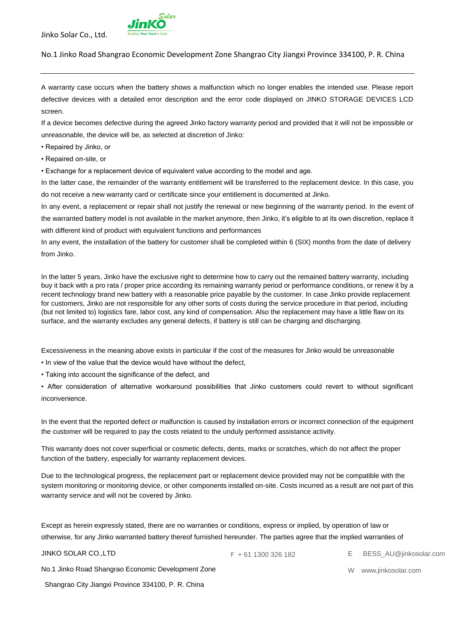

A warranty case occurs when the battery shows a malfunction which no longer enables the intended use. Please report defective devices with a detailed error description and the error code displayed on JINKO STORAGE DEVICES LCD screen.

If a device becomes defective during the agreed Jinko factory warranty period and provided that it will not be impossible or unreasonable, the device will be, as selected at discretion of Jinko:

- Repaired by Jinko, or
- Repaired on-site, or

• Exchange for a replacement device of equivalent value according to the model and age.

In the latter case, the remainder of the warranty entitlement will be transferred to the replacement device. In this case, you do not receive a new warranty card or certificate since your entitlement is documented at Jinko.

In any event, a replacement or repair shall not justify the renewal or new beginning of the warranty period. In the event of the warranted battery model is not available in the market anymore, then Jinko, it's eligible to at its own discretion, replace it with different kind of product with equivalent functions and performances

In any event, the installation of the battery for customer shall be completed within 6 (SIX) months from the date of delivery from Jinko.

In the latter 5 years, Jinko have the exclusive right to determine how to carry out the remained battery warranty, including buy it back with a pro rata / proper price according its remaining warranty period or performance conditions, or renew it by a recent technology brand new battery with a reasonable price payable by the customer. In case Jinko provide replacement for customers, Jinko are not responsible for any other sorts of costs during the service procedure in that period, including (but not limited to) logistics fare, labor cost, any kind of compensation. Also the replacement may have a little flaw on its surface, and the warranty excludes any general defects, if battery is still can be charging and discharging.

Excessiveness in the meaning above exists in particular if the cost of the measures for Jinko would be unreasonable

- In view of the value that the device would have without the defect,
- Taking into account the significance of the defect, and

• After consideration of alternative workaround possibilities that Jinko customers could revert to without significant inconvenience.

In the event that the reported defect or malfunction is caused by installation errors or incorrect connection of the equipment the customer will be required to pay the costs related to the unduly performed assistance activity.

This warranty does not cover superficial or cosmetic defects, dents, marks or scratches, which do not affect the proper function of the battery, especially for warranty replacement devices.

Due to the technological progress, the replacement part or replacement device provided may not be compatible with the system monitoring or monitoring device, or other components installed on-site. Costs incurred as a result are not part of this warranty service and will not be covered by Jinko.

Except as herein expressly stated, there are no warranties or conditions, express or implied, by operation of law or otherwise, for any Jinko warranted battery thereof furnished hereunder. The parties agree that the implied warranties of

JINKO SOLAR CO.,LTD

F + 61 1300 326 182 E BESS\_AU@jinkosolar.com

No.1 Jinko Road Shangrao Economic Development Zone

Shangrao City Jiangxi Province 334100, P. R. China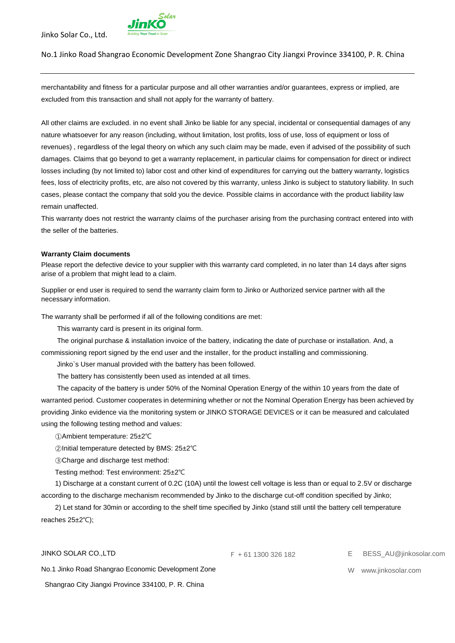

No.1 Jinko Road Shangrao Economic Development Zone Shangrao City Jiangxi Province 334100, P. R. China

merchantability and fitness for a particular purpose and all other warranties and/or guarantees, express or implied, are excluded from this transaction and shall not apply for the warranty of battery.

All other claims are excluded. in no event shall Jinko be liable for any special, incidental or consequential damages of any nature whatsoever for any reason (including, without limitation, lost profits, loss of use, loss of equipment or loss of revenues) , regardless of the legal theory on which any such claim may be made, even if advised of the possibility of such damages. Claims that go beyond to get a warranty replacement, in particular claims for compensation for direct or indirect losses including (by not limited to) labor cost and other kind of expenditures for carrying out the battery warranty, logistics fees, loss of electricity profits, etc, are also not covered by this warranty, unless Jinko is subject to statutory liability. In such cases, please contact the company that sold you the device. Possible claims in accordance with the product liability law remain unaffected.

This warranty does not restrict the warranty claims of the purchaser arising from the purchasing contract entered into with the seller of the batteries.

#### **Warranty Claim documents**

Please report the defective device to your supplier with this warranty card completed, in no later than 14 days after signs arise of a problem that might lead to a claim.

Supplier or end user is required to send the warranty claim form to Jinko or Authorized service partner with all the necessary information.

The warranty shall be performed if all of the following conditions are met:

This warranty card is present in its original form.

The original purchase & installation invoice of the battery, indicating the date of purchase or installation. And, a commissioning report signed by the end user and the installer, for the product installing and commissioning.

Jinko`s User manual provided with the battery has been followed.

The battery has consistently been used as intended at all times.

The capacity of the battery is under 50% of the Nominal Operation Energy of the within 10 years from the date of warranted period. Customer cooperates in determining whether or not the Nominal Operation Energy has been achieved by providing Jinko evidence via the monitoring system or JINKO STORAGE DEVICES or it can be measured and calculated using the following testing method and values:

①Ambient temperature: 25±2℃

②Initial temperature detected by BMS: 25±2℃

③Charge and discharge test method:

Testing method: Test environment: 25±2℃

1) Discharge at a constant current of 0.2C (10A) until the lowest cell voltage is less than or equal to 2.5V or discharge according to the discharge mechanism recommended by Jinko to the discharge cut-off condition specified by Jinko;

2) Let stand for 30min or according to the shelf time specified by Jinko (stand still until the battery cell temperature reaches 25±2℃);

JINKO SOLAR CO.,LTD

No.1 Jinko Road Shangrao Economic Development Zone

Shangrao City Jiangxi Province 334100, P. R. China

F + 61 1300 326 182 E BESS\_AU@jinkosolar.com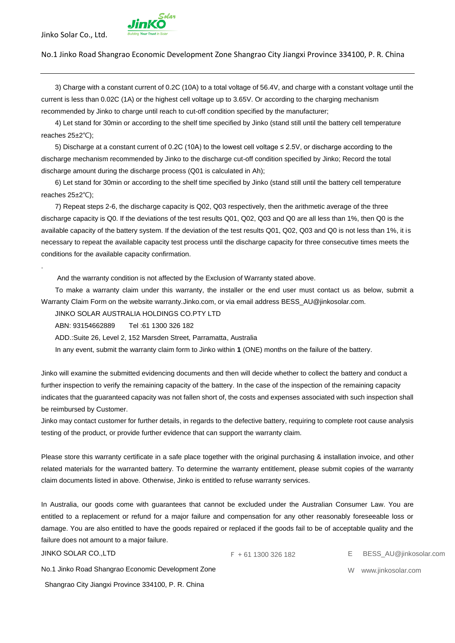.



3) Charge with a constant current of 0.2C (10A) to a total voltage of 56.4V, and charge with a constant voltage until the current is less than 0.02C (1A) or the highest cell voltage up to 3.65V. Or according to the charging mechanism recommended by Jinko to charge until reach to cut-off condition specified by the manufacturer;

4) Let stand for 30min or according to the shelf time specified by Jinko (stand still until the battery cell temperature reaches 25±2℃);

5) Discharge at a constant current of 0.2C (10A) to the lowest cell voltage ≤ 2.5V, or discharge according to the discharge mechanism recommended by Jinko to the discharge cut-off condition specified by Jinko; Record the total discharge amount during the discharge process (Q01 is calculated in Ah);

6) Let stand for 30min or according to the shelf time specified by Jinko (stand still until the battery cell temperature reaches 25±2℃);

7) Repeat steps 2-6, the discharge capacity is Q02, Q03 respectively, then the arithmetic average of the three discharge capacity is Q0. If the deviations of the test results Q01, Q02, Q03 and Q0 are all less than 1%, then Q0 is the available capacity of the battery system. If the deviation of the test results Q01, Q02, Q03 and Q0 is not less than 1%, it is necessary to repeat the available capacity test process until the discharge capacity for three consecutive times meets the conditions for the available capacity confirmation.

And the warranty condition is not affected by the Exclusion of Warranty stated above.

To make a warranty claim under this warranty, the installer or the end user must contact us as below, submit a Warranty Claim Form on the website warranty.Jinko.com, or via email address BESS\_AU@jinkosolar.com.

JINKO SOLAR AUSTRALIA HOLDINGS CO.PTY LTD

ABN: 93154662889 Tel :61 1300 326 182

ADD.:Suite 26, Level 2, 152 Marsden Street, Parramatta, Australia

In any event, submit the warranty claim form to Jinko within **1** (ONE) months on the failure of the battery.

Jinko will examine the submitted evidencing documents and then will decide whether to collect the battery and conduct a further inspection to verify the remaining capacity of the battery. In the case of the inspection of the remaining capacity indicates that the guaranteed capacity was not fallen short of, the costs and expenses associated with such inspection shall be reimbursed by Customer.

Jinko may contact customer for further details, in regards to the defective battery, requiring to complete root cause analysis testing of the product, or provide further evidence that can support the warranty claim.

Please store this warranty certificate in a safe place together with the original purchasing & installation invoice, and other related materials for the warranted battery. To determine the warranty entitlement, please submit copies of the warranty claim documents listed in above. Otherwise, Jinko is entitled to refuse warranty services.

In Australia, our goods come with guarantees that cannot be excluded under the Australian Consumer Law. You are entitled to a replacement or refund for a major failure and compensation for any other reasonably foreseeable loss or damage. You are also entitled to have the goods repaired or replaced if the goods fail to be of acceptable quality and the failure does not amount to a major failure.

JINKO SOLAR CO.,LTD

F + 61 1300 326 182 E BESS\_AU@jinkosolar.com

W www.jinkosolar.com

No.1 Jinko Road Shangrao Economic Development Zone

Shangrao City Jiangxi Province 334100, P. R. China